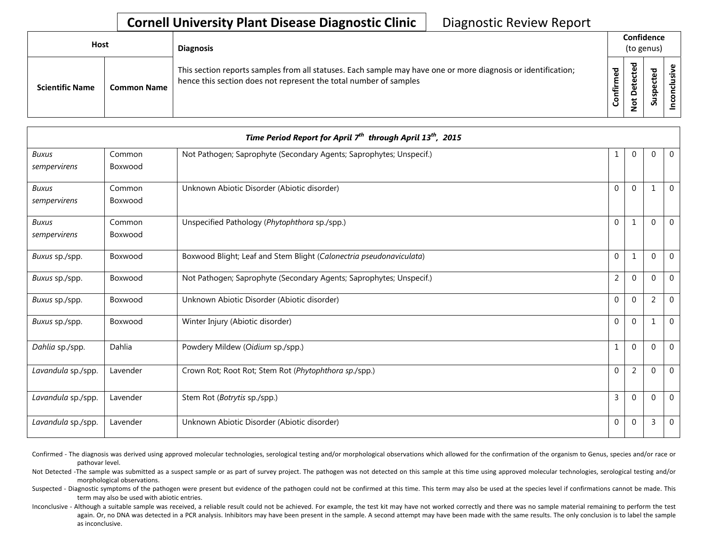## **Cornell University Plant Disease Diagnostic Clinic** | Diagnostic Review Report

| Host                   |                    | <b>Diagnosis</b>                                                                                                                                                                   | Confidence<br>(to genus)                    |                                        |                         |             |
|------------------------|--------------------|------------------------------------------------------------------------------------------------------------------------------------------------------------------------------------|---------------------------------------------|----------------------------------------|-------------------------|-------------|
| <b>Scientific Name</b> | <b>Common Name</b> | This section reports samples from all statuses. Each sample may have one or more diagnosis or identification;<br>hence this section does not represent the total number of samples | $\overline{\phantom{a}}$<br>ω<br>Ě<br>onfir | ठ<br>ں<br>Φ<br>⊷<br>≏<br>پ<br><u>۽</u> | ᅙ<br>-<br>௨<br>S<br>్లె | ω<br>š<br>ڀ |

| Time Period Report for April $7^{th}$ through April 13 <sup>th</sup> , 2015 |                   |                                                                     |                |                |                |                |  |
|-----------------------------------------------------------------------------|-------------------|---------------------------------------------------------------------|----------------|----------------|----------------|----------------|--|
| Buxus<br>sempervirens                                                       | Common<br>Boxwood | Not Pathogen; Saprophyte (Secondary Agents; Saprophytes; Unspecif.) | 1              | 0              | $\Omega$       | $\overline{0}$ |  |
| Buxus<br>sempervirens                                                       | Common<br>Boxwood | Unknown Abiotic Disorder (Abiotic disorder)                         | $\Omega$       | $\Omega$       | $\mathbf{1}$   | $\Omega$       |  |
| <b>Buxus</b><br>sempervirens                                                | Common<br>Boxwood | Unspecified Pathology (Phytophthora sp./spp.)                       | $\Omega$       |                | $\Omega$       | $\mathbf{0}$   |  |
| Buxus sp./spp.                                                              | Boxwood           | Boxwood Blight; Leaf and Stem Blight (Calonectria pseudonaviculata) | $\mathbf 0$    | $\mathbf{1}$   | $\Omega$       | $\Omega$       |  |
| Buxus sp./spp.                                                              | Boxwood           | Not Pathogen; Saprophyte (Secondary Agents; Saprophytes; Unspecif.) | $\overline{2}$ | $\Omega$       | $\Omega$       | $\Omega$       |  |
| Buxus sp./spp.                                                              | Boxwood           | Unknown Abiotic Disorder (Abiotic disorder)                         | $\overline{0}$ | $\Omega$       | $\overline{2}$ | $\Omega$       |  |
| Buxus sp./spp.                                                              | Boxwood           | Winter Injury (Abiotic disorder)                                    | $\Omega$       | $\Omega$       | 1              | $\Omega$       |  |
| Dahlia sp./spp.                                                             | Dahlia            | Powdery Mildew (Oidium sp./spp.)                                    | $\mathbf{1}$   | $\Omega$       | $\Omega$       | $\Omega$       |  |
| Lavandula sp./spp.                                                          | Lavender          | Crown Rot; Root Rot; Stem Rot (Phytophthora sp./spp.)               | $\mathbf 0$    | $\overline{2}$ | 0              | $\mathbf 0$    |  |
| Lavandula sp./spp.                                                          | Lavender          | Stem Rot (Botrytis sp./spp.)                                        | $\overline{3}$ | $\Omega$       | $\Omega$       | $\Omega$       |  |
| Lavandula sp./spp.                                                          | Lavender          | Unknown Abiotic Disorder (Abiotic disorder)                         | $\Omega$       | $\Omega$       | 3              | $\mathbf 0$    |  |

Confirmed - The diagnosis was derived using approved molecular technologies, serological testing and/or morphological observations which allowed for the confirmation of the organism to Genus, species and/or race or pathovar level.

Not Detected -The sample was submitted as a suspect sample or as part of survey project. The pathogen was not detected on this sample at this time using approved molecular technologies, serological testing and/or morphological observations.

Suspected - Diagnostic symptoms of the pathogen were present but evidence of the pathogen could not be confirmed at this time. This term may also be used at the species level if confirmations cannot be made. This term may also be used with abiotic entries.

Inconclusive - Although a suitable sample was received, a reliable result could not be achieved. For example, the test kit may have not worked correctly and there was no sample material remaining to perform the test again. Or, no DNA was detected in a PCR analysis. Inhibitors may have been present in the sample. A second attempt may have been made with the same results. The only conclusion is to label the sample as inconclusive.